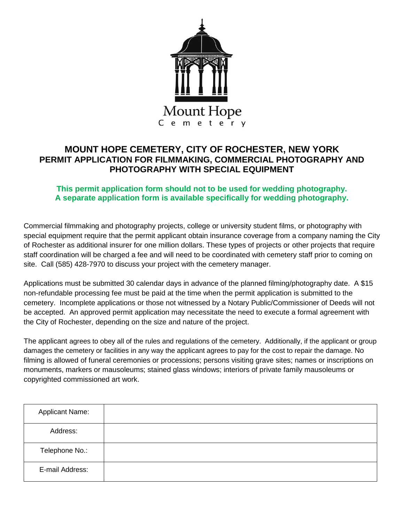

## **MOUNT HOPE CEMETERY, CITY OF ROCHESTER, NEW YORK PERMIT APPLICATION FOR FILMMAKING, COMMERCIAL PHOTOGRAPHY AND PHOTOGRAPHY WITH SPECIAL EQUIPMENT**

## **This permit application form should not to be used for wedding photography. A separate application form is available specifically for wedding photography.**

Commercial filmmaking and photography projects, college or university student films, or photography with special equipment require that the permit applicant obtain insurance coverage from a company naming the City of Rochester as additional insurer for one million dollars. These types of projects or other projects that require staff coordination will be charged a fee and will need to be coordinated with cemetery staff prior to coming on site. Call (585) 428-7970 to discuss your project with the cemetery manager.

Applications must be submitted 30 calendar days in advance of the planned filming/photography date. A \$15 non-refundable processing fee must be paid at the time when the permit application is submitted to the cemetery. Incomplete applications or those not witnessed by a Notary Public/Commissioner of Deeds will not be accepted. An approved permit application may necessitate the need to execute a formal agreement with the City of Rochester, depending on the size and nature of the project.

The applicant agrees to obey all of the rules and regulations of the cemetery. Additionally, if the applicant or group damages the cemetery or facilities in any way the applicant agrees to pay for the cost to repair the damage. No filming is allowed of funeral ceremonies or processions; persons visiting grave sites; names or inscriptions on monuments, markers or mausoleums; stained glass windows; interiors of private family mausoleums or copyrighted commissioned art work.

| <b>Applicant Name:</b> |  |
|------------------------|--|
| Address:               |  |
| Telephone No.:         |  |
| E-mail Address:        |  |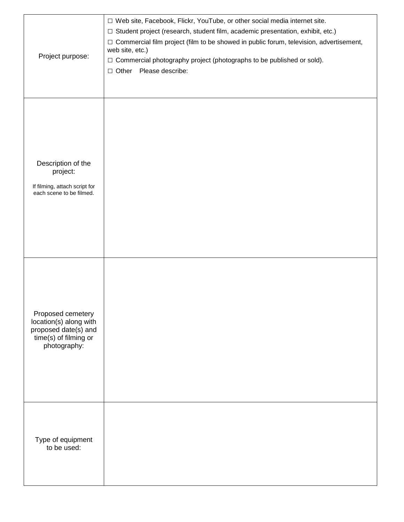| Project purpose:                                                                                             | □ Web site, Facebook, Flickr, YouTube, or other social media internet site.<br>□ Student project (research, student film, academic presentation, exhibit, etc.)<br>□ Commercial film project (film to be showed in public forum, television, advertisement,<br>web site, etc.)<br>□ Commercial photography project (photographs to be published or sold).<br>□ Other Please describe: |  |  |  |
|--------------------------------------------------------------------------------------------------------------|---------------------------------------------------------------------------------------------------------------------------------------------------------------------------------------------------------------------------------------------------------------------------------------------------------------------------------------------------------------------------------------|--|--|--|
| Description of the<br>project:<br>If filming, attach script for<br>each scene to be filmed.                  |                                                                                                                                                                                                                                                                                                                                                                                       |  |  |  |
| Proposed cemetery<br>location(s) along with<br>proposed date(s) and<br>time(s) of filming or<br>photography: |                                                                                                                                                                                                                                                                                                                                                                                       |  |  |  |
| Type of equipment<br>to be used:                                                                             |                                                                                                                                                                                                                                                                                                                                                                                       |  |  |  |